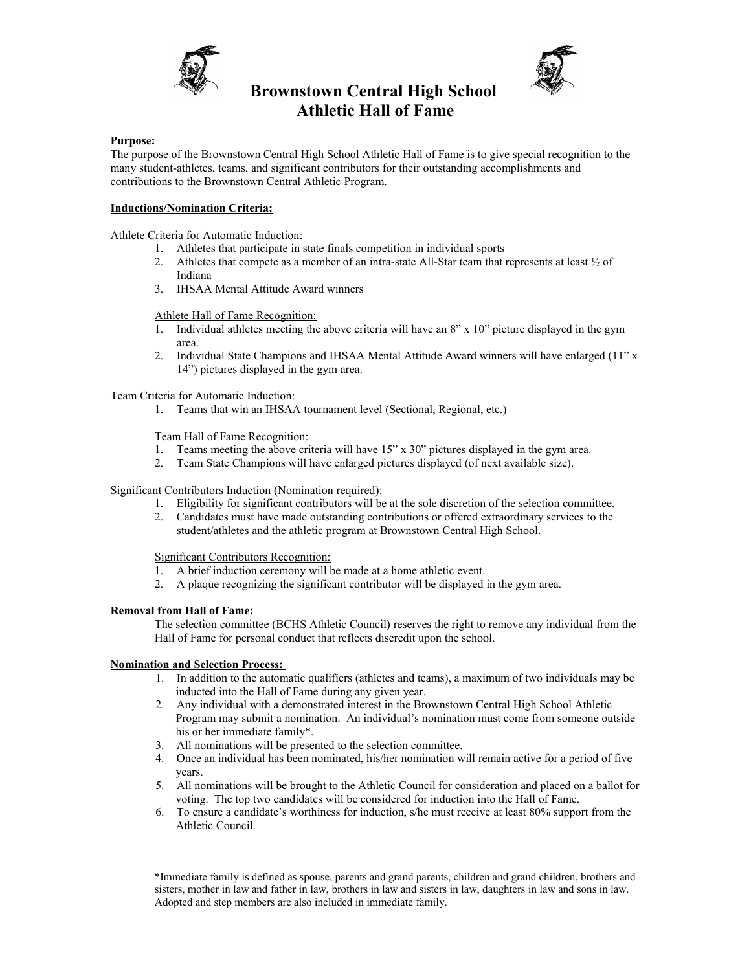

# **Brownstown Central High School Athletic Hall of Fame**



### **Purpose:**

The purpose of the Brownstown Central High School Athletic Hall of Fame is to give special recognition to the many student-athletes, teams, and significant contributors for their outstanding accomplishments and contributions to the Brownstown Central Athletic Program.

## **Inductions/Nomination Criteria:**

Athlete Criteria for Automatic Induction:

- 1. Athletes that participate in state finals competition in individual sports
- 2. Athletes that compete as a member of an intra-state All-Star team that represents at least ½ of Indiana
- 3. IHSAA Mental Attitude Award winners

#### Athlete Hall of Fame Recognition:

- 1. Individual athletes meeting the above criteria will have an 8" x 10" picture displayed in the gym area.
- 2. Individual State Champions and IHSAA Mental Attitude Award winners will have enlarged (11" x 14") pictures displayed in the gym area.

Team Criteria for Automatic Induction:

1. Teams that win an IHSAA tournament level (Sectional, Regional, etc.)

Team Hall of Fame Recognition:

- 1. Teams meeting the above criteria will have 15" x 30" pictures displayed in the gym area.
- 2. Team State Champions will have enlarged pictures displayed (of next available size).

## Significant Contributors Induction (Nomination required):

- 1. Eligibility for significant contributors will be at the sole discretion of the selection committee.
- 2. Candidates must have made outstanding contributions or offered extraordinary services to the student/athletes and the athletic program at Brownstown Central High School.

Significant Contributors Recognition:

- 1. A brief induction ceremony will be made at a home athletic event.
- 2. A plaque recognizing the significant contributor will be displayed in the gym area.

# **Removal from Hall of Fame:**

The selection committee (BCHS Athletic Council) reserves the right to remove any individual from the Hall of Fame for personal conduct that reflects discredit upon the school.

# **Nomination and Selection Process:**

- 1. In addition to the automatic qualifiers (athletes and teams), a maximum of two individuals may be inducted into the Hall of Fame during any given year.
- 2. Any individual with a demonstrated interest in the Brownstown Central High School Athletic Program may submit a nomination. An individual's nomination must come from someone outside his or her immediate family\*.
- 3. All nominations will be presented to the selection committee.
- 4. Once an individual has been nominated, his/her nomination will remain active for a period of five years.
- 5. All nominations will be brought to the Athletic Council for consideration and placed on a ballot for voting. The top two candidates will be considered for induction into the Hall of Fame.
- 6. To ensure a candidate's worthiness for induction, s/he must receive at least 80% support from the Athletic Council.

\*Immediate family is defined as spouse, parents and grand parents, children and grand children, brothers and sisters, mother in law and father in law, brothers in law and sisters in law, daughters in law and sons in law. Adopted and step members are also included in immediate family.